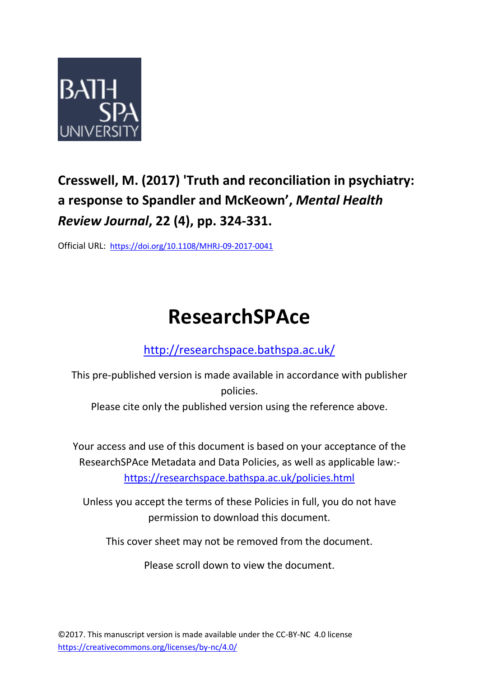

# **Cresswell, M. (2017) 'Truth and reconciliation in psychiatry: a response to Spandler and McKeown' ,** *Mental Health Review Journal***, 22 (4), pp. 324-331.**

Official URL: <https://doi.org/10.1108/MHRJ-09-2017-0041>

# **ResearchSPAce**

<http://researchspace.bathspa.ac.uk/>

This pre-published version is made available in accordance with publisher policies.

Please cite only the published version using the reference above.

Your access and use of this document is based on your acceptance of the ResearchSPAce Metadata and Data Policies, as well as applicable law: https://researchspace.bathspa.ac.uk/policies.html

Unless you accept the terms of these Policies in full, you do not have permission to download this document.

This cover sheet may not be removed from the document.

Please scroll down to view the document.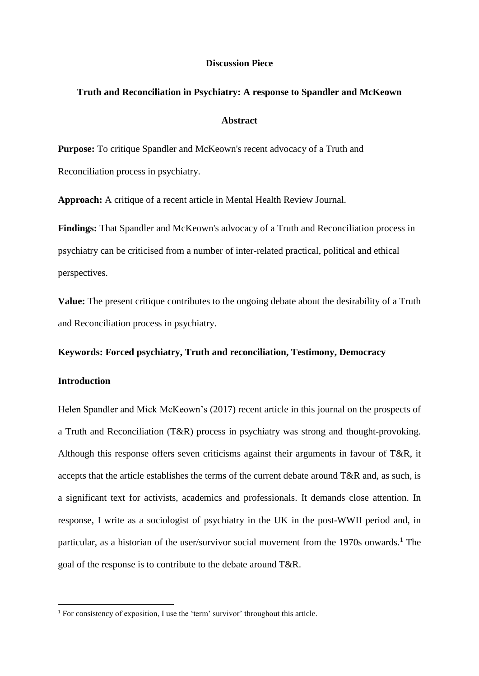#### **Discussion Piece**

#### **Truth and Reconciliation in Psychiatry: A response to Spandler and McKeown**

# **Abstract**

**Purpose:** To critique Spandler and McKeown's recent advocacy of a Truth and Reconciliation process in psychiatry.

**Approach:** A critique of a recent article in Mental Health Review Journal.

**Findings:** That Spandler and McKeown's advocacy of a Truth and Reconciliation process in psychiatry can be criticised from a number of inter-related practical, political and ethical perspectives.

**Value:** The present critique contributes to the ongoing debate about the desirability of a Truth and Reconciliation process in psychiatry.

**Keywords: Forced psychiatry, Truth and reconciliation, Testimony, Democracy**

### **Introduction**

**.** 

Helen Spandler and Mick McKeown's (2017) recent article in this journal on the prospects of a Truth and Reconciliation (T&R) process in psychiatry was strong and thought-provoking. Although this response offers seven criticisms against their arguments in favour of T&R, it accepts that the article establishes the terms of the current debate around T&R and, as such, is a significant text for activists, academics and professionals. It demands close attention. In response, I write as a sociologist of psychiatry in the UK in the post-WWII period and, in particular, as a historian of the user/survivor social movement from the 1970s onwards.<sup>1</sup> The goal of the response is to contribute to the debate around T&R.

<sup>&</sup>lt;sup>1</sup> For consistency of exposition, I use the 'term' survivor' throughout this article.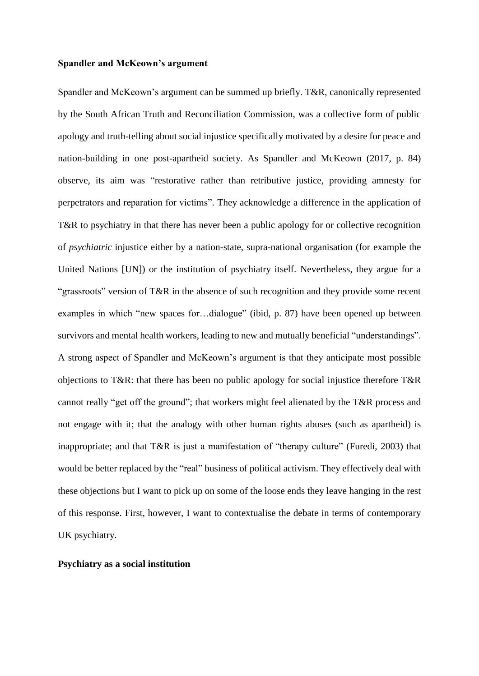#### **Spandler and McKeown's argument**

Spandler and McKeown's argument can be summed up briefly. T&R, canonically represented by the South African Truth and Reconciliation Commission, was a collective form of public apology and truth-telling about social injustice specifically motivated by a desire for peace and nation-building in one post-apartheid society. As Spandler and McKeown (2017, p. 84) observe, its aim was "restorative rather than retributive justice, providing amnesty for perpetrators and reparation for victims". They acknowledge a difference in the application of T&R to psychiatry in that there has never been a public apology for or collective recognition of *psychiatric* injustice either by a nation-state, supra-national organisation (for example the United Nations [UN]) or the institution of psychiatry itself. Nevertheless, they argue for a "grassroots" version of T&R in the absence of such recognition and they provide some recent examples in which "new spaces for...dialogue" (ibid, p. 87) have been opened up between survivors and mental health workers, leading to new and mutually beneficial "understandings". A strong aspect of Spandler and McKeown's argument is that they anticipate most possible objections to T&R: that there has been no public apology for social injustice therefore T&R cannot really "get off the ground"; that workers might feel alienated by the T&R process and not engage with it; that the analogy with other human rights abuses (such as apartheid) is inappropriate; and that T&R is just a manifestation of "therapy culture" (Furedi, 2003) that would be better replaced by the "real" business of political activism. They effectively deal with these objections but I want to pick up on some of the loose ends they leave hanging in the rest of this response. First, however, I want to contextualise the debate in terms of contemporary UK psychiatry.

#### **Psychiatry as a social institution**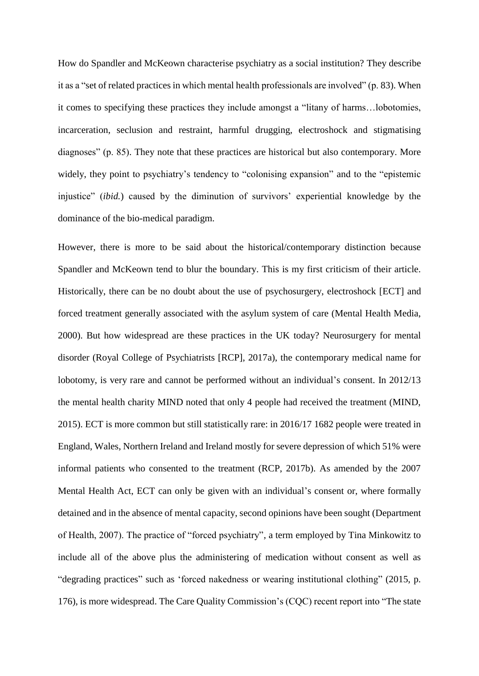How do Spandler and McKeown characterise psychiatry as a social institution? They describe it as a "set of related practices in which mental health professionals are involved" (p. 83). When it comes to specifying these practices they include amongst a "litany of harms…lobotomies, incarceration, seclusion and restraint, harmful drugging, electroshock and stigmatising diagnoses" (p. 85). They note that these practices are historical but also contemporary. More widely, they point to psychiatry's tendency to "colonising expansion" and to the "epistemic injustice" (*ibid.*) caused by the diminution of survivors' experiential knowledge by the dominance of the bio-medical paradigm.

However, there is more to be said about the historical/contemporary distinction because Spandler and McKeown tend to blur the boundary. This is my first criticism of their article. Historically, there can be no doubt about the use of psychosurgery, electroshock [ECT] and forced treatment generally associated with the asylum system of care (Mental Health Media, 2000). But how widespread are these practices in the UK today? Neurosurgery for mental disorder (Royal College of Psychiatrists [RCP], 2017a), the contemporary medical name for lobotomy, is very rare and cannot be performed without an individual's consent. In 2012/13 the mental health charity MIND noted that only 4 people had received the treatment (MIND, 2015). ECT is more common but still statistically rare: in 2016/17 1682 people were treated in England, Wales, Northern Ireland and Ireland mostly for severe depression of which 51% were informal patients who consented to the treatment (RCP, 2017b). As amended by the 2007 Mental Health Act, ECT can only be given with an individual's consent or, where formally detained and in the absence of mental capacity, second opinions have been sought (Department of Health, 2007). The practice of "forced psychiatry", a term employed by Tina Minkowitz to include all of the above plus the administering of medication without consent as well as "degrading practices" such as 'forced nakedness or wearing institutional clothing" (2015, p. 176), is more widespread. The Care Quality Commission's (CQC) recent report into "The state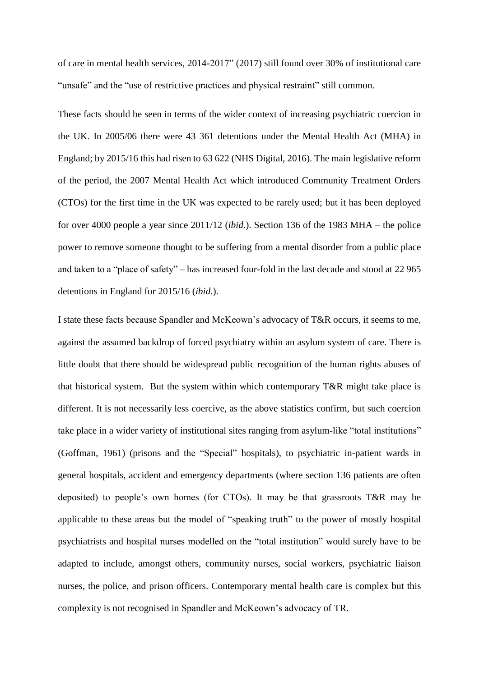of care in mental health services, 2014-2017" (2017) still found over 30% of institutional care "unsafe" and the "use of restrictive practices and physical restraint" still common.

These facts should be seen in terms of the wider context of increasing psychiatric coercion in the UK. In 2005/06 there were 43 361 detentions under the Mental Health Act (MHA) in England; by 2015/16 this had risen to 63 622 (NHS Digital, 2016). The main legislative reform of the period, the 2007 Mental Health Act which introduced Community Treatment Orders (CTOs) for the first time in the UK was expected to be rarely used; but it has been deployed for over 4000 people a year since 2011/12 (*ibid.*). Section 136 of the 1983 MHA – the police power to remove someone thought to be suffering from a mental disorder from a public place and taken to a "place of safety" – has increased four-fold in the last decade and stood at 22 965 detentions in England for 2015/16 (*ibid.*).

I state these facts because Spandler and McKeown's advocacy of T&R occurs, it seems to me, against the assumed backdrop of forced psychiatry within an asylum system of care. There is little doubt that there should be widespread public recognition of the human rights abuses of that historical system. But the system within which contemporary T&R might take place is different. It is not necessarily less coercive, as the above statistics confirm, but such coercion take place in a wider variety of institutional sites ranging from asylum-like "total institutions" (Goffman, 1961) (prisons and the "Special" hospitals), to psychiatric in-patient wards in general hospitals, accident and emergency departments (where section 136 patients are often deposited) to people's own homes (for CTOs). It may be that grassroots T&R may be applicable to these areas but the model of "speaking truth" to the power of mostly hospital psychiatrists and hospital nurses modelled on the "total institution" would surely have to be adapted to include, amongst others, community nurses, social workers, psychiatric liaison nurses, the police, and prison officers. Contemporary mental health care is complex but this complexity is not recognised in Spandler and McKeown's advocacy of TR.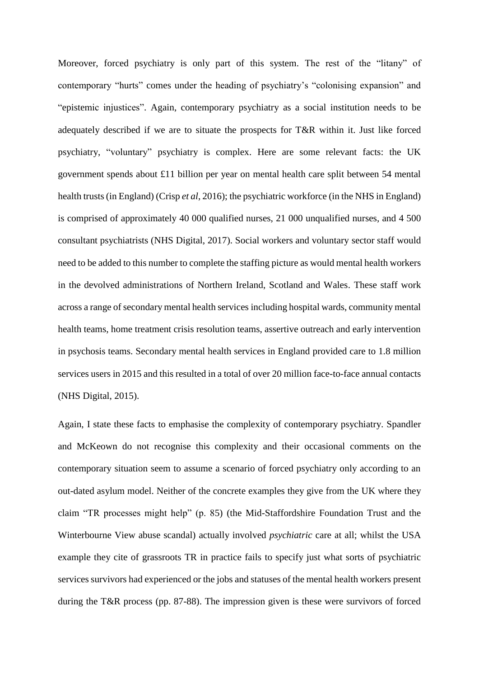Moreover, forced psychiatry is only part of this system. The rest of the "litany" of contemporary "hurts" comes under the heading of psychiatry's "colonising expansion" and "epistemic injustices". Again, contemporary psychiatry as a social institution needs to be adequately described if we are to situate the prospects for T&R within it. Just like forced psychiatry, "voluntary" psychiatry is complex. Here are some relevant facts: the UK government spends about £11 billion per year on mental health care split between 54 mental health trusts (in England) (Crisp *et al*, 2016); the psychiatric workforce (in the NHS in England) is comprised of approximately 40 000 qualified nurses, 21 000 unqualified nurses, and 4 500 consultant psychiatrists (NHS Digital, 2017). Social workers and voluntary sector staff would need to be added to this number to complete the staffing picture as would mental health workers in the devolved administrations of Northern Ireland, Scotland and Wales. These staff work across a range of secondary mental health services including hospital wards, community mental health teams, home treatment crisis resolution teams, assertive outreach and early intervention in psychosis teams. Secondary mental health services in England provided care to 1.8 million services users in 2015 and this resulted in a total of over 20 million face-to-face annual contacts (NHS Digital, 2015).

Again, I state these facts to emphasise the complexity of contemporary psychiatry. Spandler and McKeown do not recognise this complexity and their occasional comments on the contemporary situation seem to assume a scenario of forced psychiatry only according to an out-dated asylum model. Neither of the concrete examples they give from the UK where they claim "TR processes might help" (p. 85) (the Mid-Staffordshire Foundation Trust and the Winterbourne View abuse scandal) actually involved *psychiatric* care at all; whilst the USA example they cite of grassroots TR in practice fails to specify just what sorts of psychiatric services survivors had experienced or the jobs and statuses of the mental health workers present during the T&R process (pp. 87-88). The impression given is these were survivors of forced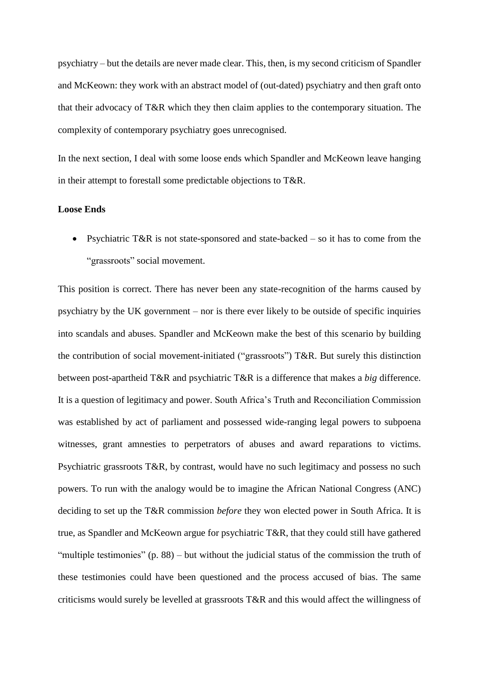psychiatry – but the details are never made clear. This, then, is my second criticism of Spandler and McKeown: they work with an abstract model of (out-dated) psychiatry and then graft onto that their advocacy of T&R which they then claim applies to the contemporary situation. The complexity of contemporary psychiatry goes unrecognised.

In the next section, I deal with some loose ends which Spandler and McKeown leave hanging in their attempt to forestall some predictable objections to T&R.

# **Loose Ends**

• Psychiatric T&R is not state-sponsored and state-backed – so it has to come from the "grassroots" social movement.

This position is correct. There has never been any state-recognition of the harms caused by psychiatry by the UK government – nor is there ever likely to be outside of specific inquiries into scandals and abuses. Spandler and McKeown make the best of this scenario by building the contribution of social movement-initiated ("grassroots") T&R. But surely this distinction between post-apartheid T&R and psychiatric T&R is a difference that makes a *big* difference. It is a question of legitimacy and power. South Africa's Truth and Reconciliation Commission was established by act of parliament and possessed wide-ranging legal powers to subpoena witnesses, grant amnesties to perpetrators of abuses and award reparations to victims. Psychiatric grassroots T&R, by contrast, would have no such legitimacy and possess no such powers. To run with the analogy would be to imagine the African National Congress (ANC) deciding to set up the T&R commission *before* they won elected power in South Africa. It is true, as Spandler and McKeown argue for psychiatric T&R, that they could still have gathered "multiple testimonies" (p. 88) – but without the judicial status of the commission the truth of these testimonies could have been questioned and the process accused of bias. The same criticisms would surely be levelled at grassroots T&R and this would affect the willingness of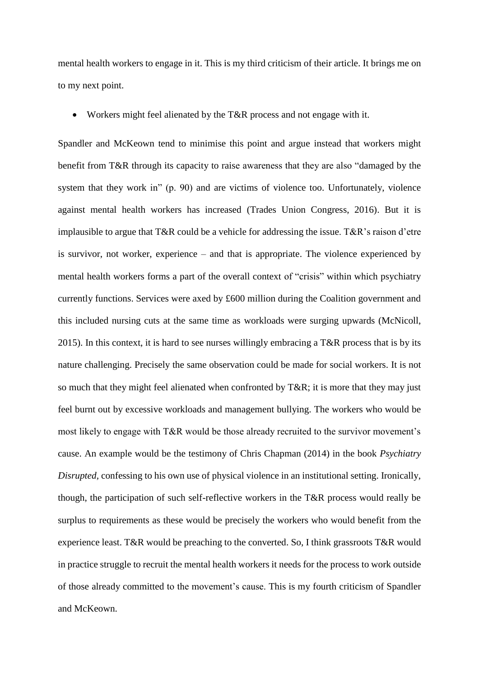mental health workers to engage in it. This is my third criticism of their article. It brings me on to my next point.

Workers might feel alienated by the T&R process and not engage with it.

Spandler and McKeown tend to minimise this point and argue instead that workers might benefit from T&R through its capacity to raise awareness that they are also "damaged by the system that they work in" (p. 90) and are victims of violence too. Unfortunately, violence against mental health workers has increased (Trades Union Congress, 2016). But it is implausible to argue that T&R could be a vehicle for addressing the issue. T&R's raison d'etre is survivor, not worker, experience – and that is appropriate. The violence experienced by mental health workers forms a part of the overall context of "crisis" within which psychiatry currently functions. Services were axed by £600 million during the Coalition government and this included nursing cuts at the same time as workloads were surging upwards (McNicoll, 2015). In this context, it is hard to see nurses willingly embracing a T&R process that is by its nature challenging. Precisely the same observation could be made for social workers. It is not so much that they might feel alienated when confronted by T&R; it is more that they may just feel burnt out by excessive workloads and management bullying. The workers who would be most likely to engage with T&R would be those already recruited to the survivor movement's cause. An example would be the testimony of Chris Chapman (2014) in the book *Psychiatry Disrupted,* confessing to his own use of physical violence in an institutional setting. Ironically, though, the participation of such self-reflective workers in the T&R process would really be surplus to requirements as these would be precisely the workers who would benefit from the experience least. T&R would be preaching to the converted. So, I think grassroots T&R would in practice struggle to recruit the mental health workers it needs for the process to work outside of those already committed to the movement's cause. This is my fourth criticism of Spandler and McKeown.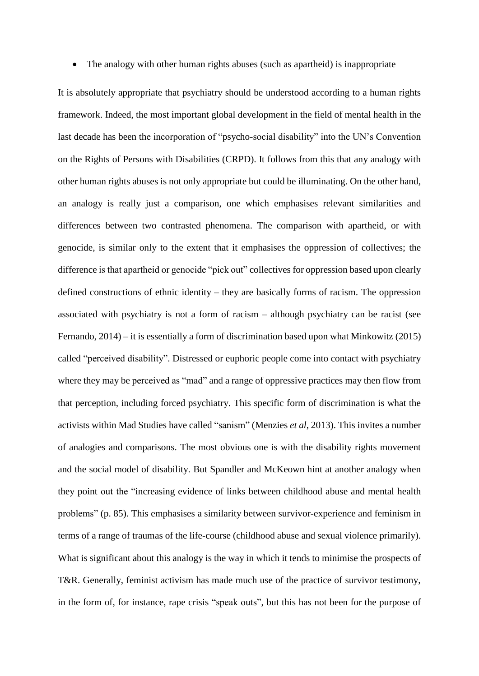• The analogy with other human rights abuses (such as apartheid) is inappropriate

It is absolutely appropriate that psychiatry should be understood according to a human rights framework. Indeed, the most important global development in the field of mental health in the last decade has been the incorporation of "psycho-social disability" into the UN's Convention on the Rights of Persons with Disabilities (CRPD). It follows from this that any analogy with other human rights abuses is not only appropriate but could be illuminating. On the other hand, an analogy is really just a comparison, one which emphasises relevant similarities and differences between two contrasted phenomena. The comparison with apartheid, or with genocide, is similar only to the extent that it emphasises the oppression of collectives; the difference is that apartheid or genocide "pick out" collectives for oppression based upon clearly defined constructions of ethnic identity – they are basically forms of racism. The oppression associated with psychiatry is not a form of racism – although psychiatry can be racist (see Fernando, 2014) – it is essentially a form of discrimination based upon what Minkowitz (2015) called "perceived disability". Distressed or euphoric people come into contact with psychiatry where they may be perceived as "mad" and a range of oppressive practices may then flow from that perception, including forced psychiatry. This specific form of discrimination is what the activists within Mad Studies have called "sanism" (Menzies *et al*, 2013). This invites a number of analogies and comparisons. The most obvious one is with the disability rights movement and the social model of disability. But Spandler and McKeown hint at another analogy when they point out the "increasing evidence of links between childhood abuse and mental health problems" (p. 85). This emphasises a similarity between survivor-experience and feminism in terms of a range of traumas of the life-course (childhood abuse and sexual violence primarily). What is significant about this analogy is the way in which it tends to minimise the prospects of T&R. Generally, feminist activism has made much use of the practice of survivor testimony, in the form of, for instance, rape crisis "speak outs", but this has not been for the purpose of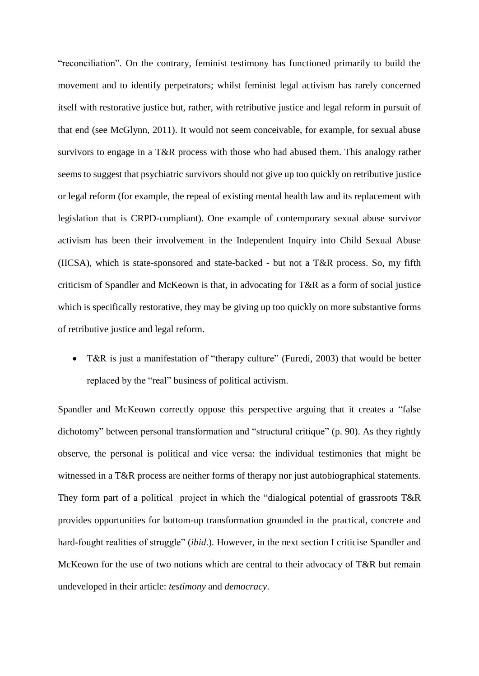"reconciliation". On the contrary, feminist testimony has functioned primarily to build the movement and to identify perpetrators; whilst feminist legal activism has rarely concerned itself with restorative justice but, rather, with retributive justice and legal reform in pursuit of that end (see McGlynn, 2011). It would not seem conceivable, for example, for sexual abuse survivors to engage in a T&R process with those who had abused them. This analogy rather seems to suggest that psychiatric survivors should not give up too quickly on retributive justice or legal reform (for example, the repeal of existing mental health law and its replacement with legislation that is CRPD-compliant). One example of contemporary sexual abuse survivor activism has been their involvement in the Independent Inquiry into Child Sexual Abuse (IICSA), which is state-sponsored and state-backed - but not a T&R process. So, my fifth criticism of Spandler and McKeown is that, in advocating for T&R as a form of social justice which is specifically restorative, they may be giving up too quickly on more substantive forms of retributive justice and legal reform.

• T&R is just a manifestation of "therapy culture" (Furedi, 2003) that would be better replaced by the "real" business of political activism.

Spandler and McKeown correctly oppose this perspective arguing that it creates a "false dichotomy" between personal transformation and "structural critique" (p. 90). As they rightly observe, the personal is political and vice versa: the individual testimonies that might be witnessed in a T&R process are neither forms of therapy nor just autobiographical statements. They form part of a political project in which the "dialogical potential of grassroots T&R provides opportunities for bottom-up transformation grounded in the practical, concrete and hard-fought realities of struggle" (*ibid*.). However, in the next section I criticise Spandler and McKeown for the use of two notions which are central to their advocacy of T&R but remain undeveloped in their article: *testimony* and *democracy*.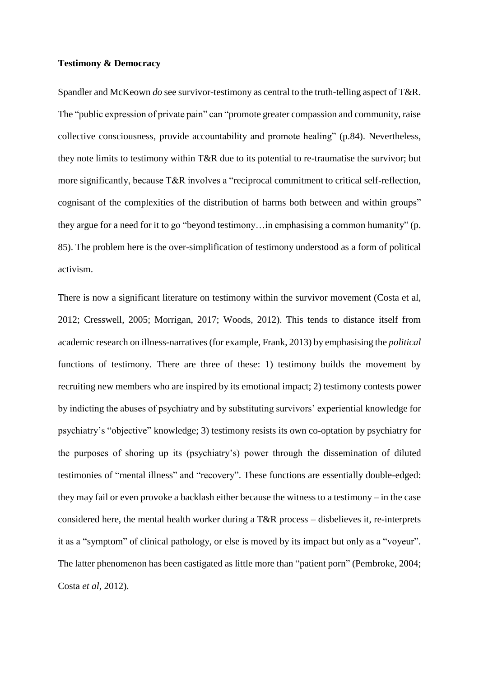#### **Testimony & Democracy**

Spandler and McKeown *do* see survivor-testimony as central to the truth-telling aspect of T&R. The "public expression of private pain" can "promote greater compassion and community, raise collective consciousness, provide accountability and promote healing" (p.84). Nevertheless, they note limits to testimony within T&R due to its potential to re-traumatise the survivor; but more significantly, because T&R involves a "reciprocal commitment to critical self-reflection, cognisant of the complexities of the distribution of harms both between and within groups" they argue for a need for it to go "beyond testimony…in emphasising a common humanity" (p. 85). The problem here is the over-simplification of testimony understood as a form of political activism.

There is now a significant literature on testimony within the survivor movement (Costa et al, 2012; Cresswell, 2005; Morrigan, 2017; Woods, 2012). This tends to distance itself from academic research on illness-narratives(for example, Frank, 2013) by emphasising the *political* functions of testimony. There are three of these: 1) testimony builds the movement by recruiting new members who are inspired by its emotional impact; 2) testimony contests power by indicting the abuses of psychiatry and by substituting survivors' experiential knowledge for psychiatry's "objective" knowledge; 3) testimony resists its own co-optation by psychiatry for the purposes of shoring up its (psychiatry's) power through the dissemination of diluted testimonies of "mental illness" and "recovery". These functions are essentially double-edged: they may fail or even provoke a backlash either because the witness to a testimony – in the case considered here, the mental health worker during a T&R process – disbelieves it, re-interprets it as a "symptom" of clinical pathology, or else is moved by its impact but only as a "voyeur". The latter phenomenon has been castigated as little more than "patient porn" (Pembroke, 2004; Costa *et al*, 2012).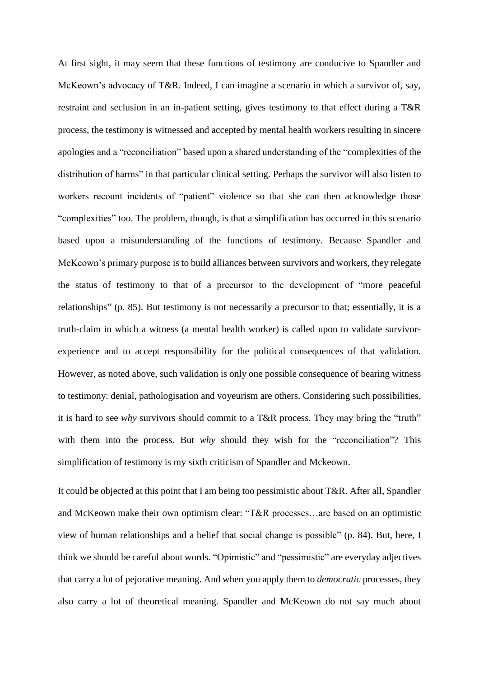At first sight, it may seem that these functions of testimony are conducive to Spandler and McKeown's advocacy of T&R. Indeed, I can imagine a scenario in which a survivor of, say, restraint and seclusion in an in-patient setting, gives testimony to that effect during a T&R process, the testimony is witnessed and accepted by mental health workers resulting in sincere apologies and a "reconciliation" based upon a shared understanding of the "complexities of the distribution of harms" in that particular clinical setting. Perhaps the survivor will also listen to workers recount incidents of "patient" violence so that she can then acknowledge those "complexities" too. The problem, though, is that a simplification has occurred in this scenario based upon a misunderstanding of the functions of testimony. Because Spandler and McKeown's primary purpose is to build alliances between survivors and workers, they relegate the status of testimony to that of a precursor to the development of "more peaceful relationships" (p. 85). But testimony is not necessarily a precursor to that; essentially, it is a truth-claim in which a witness (a mental health worker) is called upon to validate survivorexperience and to accept responsibility for the political consequences of that validation. However, as noted above, such validation is only one possible consequence of bearing witness to testimony: denial, pathologisation and voyeurism are others. Considering such possibilities, it is hard to see *why* survivors should commit to a T&R process. They may bring the "truth" with them into the process. But *why* should they wish for the "reconciliation"? This simplification of testimony is my sixth criticism of Spandler and Mckeown.

It could be objected at this point that I am being too pessimistic about T&R. After all, Spandler and McKeown make their own optimism clear: "T&R processes…are based on an optimistic view of human relationships and a belief that social change is possible" (p. 84). But, here, I think we should be careful about words. "Opimistic" and "pessimistic" are everyday adjectives that carry a lot of pejorative meaning. And when you apply them to *democratic* processes, they also carry a lot of theoretical meaning. Spandler and McKeown do not say much about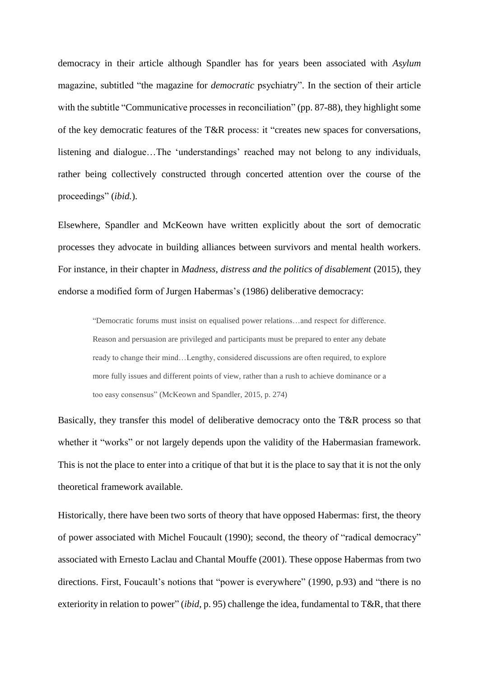democracy in their article although Spandler has for years been associated with *Asylum* magazine, subtitled "the magazine for *democratic* psychiatry". In the section of their article with the subtitle "Communicative processes in reconciliation" (pp. 87-88), they highlight some of the key democratic features of the T&R process: it "creates new spaces for conversations, listening and dialogue…The 'understandings' reached may not belong to any individuals, rather being collectively constructed through concerted attention over the course of the proceedings" (*ibid.*).

Elsewhere, Spandler and McKeown have written explicitly about the sort of democratic processes they advocate in building alliances between survivors and mental health workers. For instance, in their chapter in *Madness, distress and the politics of disablement* (2015), they endorse a modified form of Jurgen Habermas's (1986) deliberative democracy:

"Democratic forums must insist on equalised power relations…and respect for difference. Reason and persuasion are privileged and participants must be prepared to enter any debate ready to change their mind…Lengthy, considered discussions are often required, to explore more fully issues and different points of view, rather than a rush to achieve dominance or a too easy consensus" (McKeown and Spandler, 2015, p. 274)

Basically, they transfer this model of deliberative democracy onto the T&R process so that whether it "works" or not largely depends upon the validity of the Habermasian framework. This is not the place to enter into a critique of that but it is the place to say that it is not the only theoretical framework available.

Historically, there have been two sorts of theory that have opposed Habermas: first, the theory of power associated with Michel Foucault (1990); second, the theory of "radical democracy" associated with Ernesto Laclau and Chantal Mouffe (2001). These oppose Habermas from two directions. First, Foucault's notions that "power is everywhere" (1990, p.93) and "there is no exteriority in relation to power" (*ibid*, p. 95) challenge the idea, fundamental to T&R, that there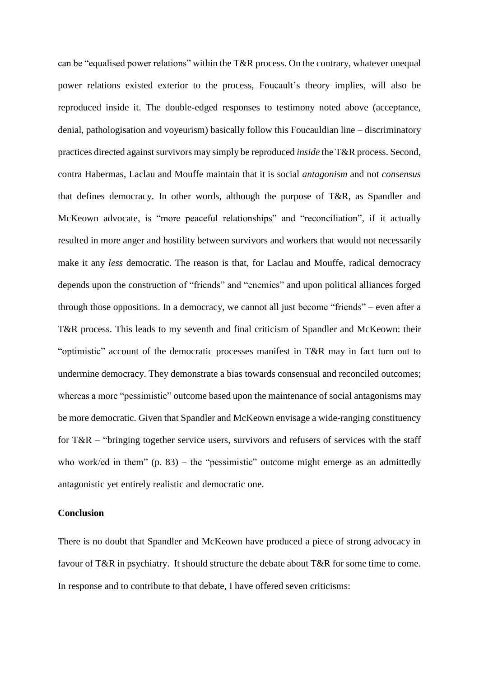can be "equalised power relations" within the T&R process. On the contrary, whatever unequal power relations existed exterior to the process, Foucault's theory implies, will also be reproduced inside it. The double-edged responses to testimony noted above (acceptance, denial, pathologisation and voyeurism) basically follow this Foucauldian line – discriminatory practices directed against survivors may simply be reproduced *inside* the T&R process. Second, contra Habermas, Laclau and Mouffe maintain that it is social *antagonism* and not *consensus* that defines democracy. In other words, although the purpose of T&R, as Spandler and McKeown advocate, is "more peaceful relationships" and "reconciliation", if it actually resulted in more anger and hostility between survivors and workers that would not necessarily make it any *less* democratic. The reason is that, for Laclau and Mouffe, radical democracy depends upon the construction of "friends" and "enemies" and upon political alliances forged through those oppositions. In a democracy, we cannot all just become "friends" – even after a T&R process. This leads to my seventh and final criticism of Spandler and McKeown: their "optimistic" account of the democratic processes manifest in T&R may in fact turn out to undermine democracy. They demonstrate a bias towards consensual and reconciled outcomes; whereas a more "pessimistic" outcome based upon the maintenance of social antagonisms may be more democratic. Given that Spandler and McKeown envisage a wide-ranging constituency for T&R – "bringing together service users, survivors and refusers of services with the staff who work/ed in them"  $(p. 83)$  – the "pessimistic" outcome might emerge as an admittedly antagonistic yet entirely realistic and democratic one.

# **Conclusion**

There is no doubt that Spandler and McKeown have produced a piece of strong advocacy in favour of T&R in psychiatry. It should structure the debate about T&R for some time to come. In response and to contribute to that debate, I have offered seven criticisms: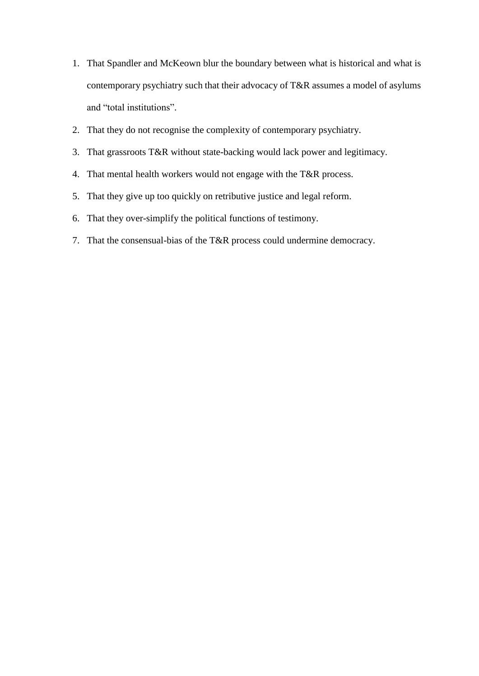- 1. That Spandler and McKeown blur the boundary between what is historical and what is contemporary psychiatry such that their advocacy of T&R assumes a model of asylums and "total institutions".
- 2. That they do not recognise the complexity of contemporary psychiatry.
- 3. That grassroots T&R without state-backing would lack power and legitimacy.
- 4. That mental health workers would not engage with the T&R process.
- 5. That they give up too quickly on retributive justice and legal reform.
- 6. That they over-simplify the political functions of testimony.
- 7. That the consensual-bias of the T&R process could undermine democracy.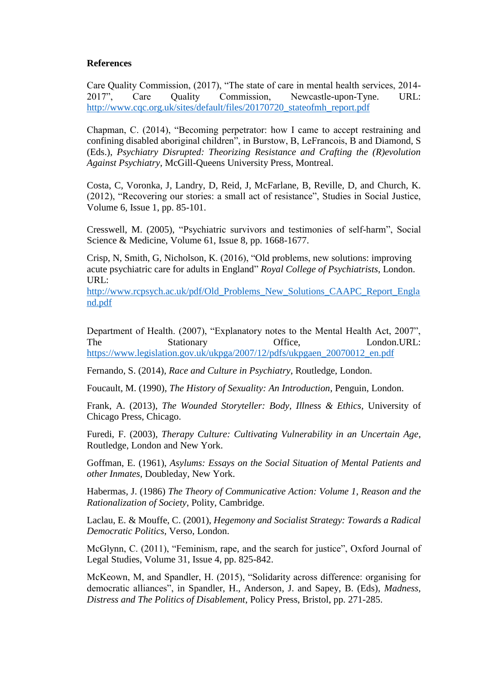# **References**

Care Quality Commission, (2017), "The state of care in mental health services, 2014- 2017", Care Quality Commission, Newcastle-upon-Tyne. URL: [http://www.cqc.org.uk/sites/default/files/20170720\\_stateofmh\\_report.pdf](http://www.cqc.org.uk/sites/default/files/20170720_stateofmh_report.pdf)

Chapman, C. (2014), "Becoming perpetrator: how I came to accept restraining and confining disabled aboriginal children", in Burstow, B, LeFrancois, B and Diamond, S (Eds.), *Psychiatry Disrupted: Theorizing Resistance and Crafting the (R)evolution Against Psychiatry*, McGill-Queens University Press, Montreal.

Costa, C, Voronka, J, Landry, D, Reid, J, McFarlane, B, Reville, D, and Church, K. (2012), "Recovering our stories: a small act of resistance", Studies in Social Justice, Volume 6, Issue 1, pp. 85-101.

Cresswell, M. (2005), "Psychiatric survivors and testimonies of self-harm", Social Science & Medicine, Volume 61, Issue 8, pp. 1668-1677.

Crisp, N, Smith, G, Nicholson, K. (2016), "Old problems, new solutions: improving acute psychiatric care for adults in England" *Royal College of Psychiatrists*, London. URL:

[http://www.rcpsych.ac.uk/pdf/Old\\_Problems\\_New\\_Solutions\\_CAAPC\\_Report\\_Engla](http://www.rcpsych.ac.uk/pdf/Old_Problems_New_Solutions_CAAPC_Report_England.pdf) [nd.pdf](http://www.rcpsych.ac.uk/pdf/Old_Problems_New_Solutions_CAAPC_Report_England.pdf)

Department of Health. (2007), "Explanatory notes to the Mental Health Act, 2007", The Stationary Office, London.URL: [https://www.legislation.gov.uk/ukpga/2007/12/pdfs/ukpgaen\\_20070012\\_en.pdf](https://www.legislation.gov.uk/ukpga/2007/12/pdfs/ukpgaen_20070012_en.pdf)

Fernando, S. (2014), *Race and Culture in Psychiatry*, Routledge, London.

Foucault, M. (1990), *The History of Sexuality: An Introduction*, Penguin, London.

Frank, A. (2013), *The Wounded Storyteller: Body, Illness & Ethics*, University of Chicago Press, Chicago.

Furedi, F. (2003), *Therapy Culture: Cultivating Vulnerability in an Uncertain Age*, Routledge, London and New York.

Goffman, E. (1961), *Asylums: Essays on the Social Situation of Mental Patients and other Inmates*, Doubleday, New York.

Habermas, J. (1986) *The Theory of Communicative Action: Volume 1, Reason and the Rationalization of Society*, Polity, Cambridge.

Laclau, E. & Mouffe, C. (2001), *Hegemony and Socialist Strategy: Towards a Radical Democratic Politics*, Verso, London.

McGlynn, C. (2011), "Feminism, rape, and the search for justice", Oxford Journal of Legal Studies, Volume 31, Issue 4, pp. 825-842.

McKeown, M, and Spandler, H. (2015), "Solidarity across difference: organising for democratic alliances", in Spandler, H., Anderson, J. and Sapey, B. (Eds), *Madness, Distress and The Politics of Disablement*, Policy Press, Bristol, pp. 271-285.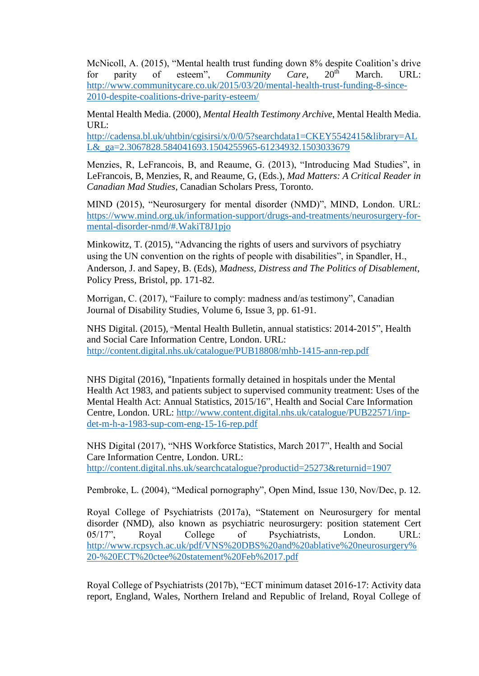McNicoll, A. (2015), "Mental health trust funding down 8% despite Coalition's drive for parity of esteem", *Community Care*, 20<sup>th</sup> March. URL: [http://www.communitycare.co.uk/2015/03/20/mental-health-trust-funding-8-since-](http://www.communitycare.co.uk/2015/03/20/mental-health-trust-funding-8-since-2010-despite-coalitions-drive-parity-esteem/)[2010-despite-coalitions-drive-parity-esteem/](http://www.communitycare.co.uk/2015/03/20/mental-health-trust-funding-8-since-2010-despite-coalitions-drive-parity-esteem/)

Mental Health Media. (2000), *Mental Health Testimony Archive*, Mental Health Media. URL:

[http://cadensa.bl.uk/uhtbin/cgisirsi/x/0/0/5?searchdata1=CKEY5542415&library=AL](http://cadensa.bl.uk/uhtbin/cgisirsi/x/0/0/5?searchdata1=CKEY5542415&library=ALL&_ga=2.3067828.584041693.1504255965-61234932.1503033679) L& ga=2.3067828.584041693.1504255965-61234932.1503033679

Menzies, R, LeFrancois, B, and Reaume, G. (2013), "Introducing Mad Studies", in LeFrancois, B, Menzies, R, and Reaume, G, (Eds.), *Mad Matters: A Critical Reader in Canadian Mad Studies*, Canadian Scholars Press, Toronto.

MIND (2015), "Neurosurgery for mental disorder (NMD)", MIND, London. URL: [https://www.mind.org.uk/information-support/drugs-and-treatments/neurosurgery-for](https://www.mind.org.uk/information-support/drugs-and-treatments/neurosurgery-for-mental-disorder-nmd/#.WakiT8J1pjo)[mental-disorder-nmd/#.WakiT8J1pjo](https://www.mind.org.uk/information-support/drugs-and-treatments/neurosurgery-for-mental-disorder-nmd/#.WakiT8J1pjo)

Minkowitz, T. (2015), "Advancing the rights of users and survivors of psychiatry using the UN convention on the rights of people with disabilities", in Spandler, H., Anderson, J. and Sapey, B. (Eds), *Madness, Distress and The Politics of Disablement*, Policy Press, Bristol, pp. 171-82.

Morrigan, C. (2017), "Failure to comply: madness and/as testimony", Canadian Journal of Disability Studies, Volume 6, Issue 3, pp. 61-91.

NHS Digital. (2015), "Mental Health Bulletin, annual statistics: 2014-2015", Health and Social Care Information Centre, London. URL: <http://content.digital.nhs.uk/catalogue/PUB18808/mhb-1415-ann-rep.pdf>

NHS Digital (2016), "Inpatients formally detained in hospitals under the Mental Health Act 1983, and patients subject to supervised community treatment: Uses of the Mental Health Act: Annual Statistics, 2015/16", Health and Social Care Information Centre, London. URL: [http://www.content.digital.nhs.uk/catalogue/PUB22571/inp](http://www.content.digital.nhs.uk/catalogue/PUB22571/inp-det-m-h-a-1983-sup-com-eng-15-16-rep.pdf)[det-m-h-a-1983-sup-com-eng-15-16-rep.pdf](http://www.content.digital.nhs.uk/catalogue/PUB22571/inp-det-m-h-a-1983-sup-com-eng-15-16-rep.pdf)

NHS Digital (2017), "NHS Workforce Statistics, March 2017", Health and Social Care Information Centre, London. URL: <http://content.digital.nhs.uk/searchcatalogue?productid=25273&returnid=1907>

Pembroke, L. (2004), "Medical pornography", Open Mind, Issue 130, Nov/Dec, p. 12.

Royal College of Psychiatrists (2017a), "Statement on Neurosurgery for mental disorder (NMD), also known as psychiatric neurosurgery: position statement Cert 05/17", Royal College of Psychiatrists, London. URL: [http://www.rcpsych.ac.uk/pdf/VNS%20DBS%20and%20ablative%20neurosurgery%](http://www.rcpsych.ac.uk/pdf/VNS%20DBS%20and%20ablative%20neurosurgery%20-%20ECT%20ctee%20statement%20Feb%2017.pdf) [20-%20ECT%20ctee%20statement%20Feb%2017.pdf](http://www.rcpsych.ac.uk/pdf/VNS%20DBS%20and%20ablative%20neurosurgery%20-%20ECT%20ctee%20statement%20Feb%2017.pdf)

Royal College of Psychiatrists (2017b), "ECT minimum dataset 2016-17: Activity data report, England, Wales, Northern Ireland and Republic of Ireland, Royal College of